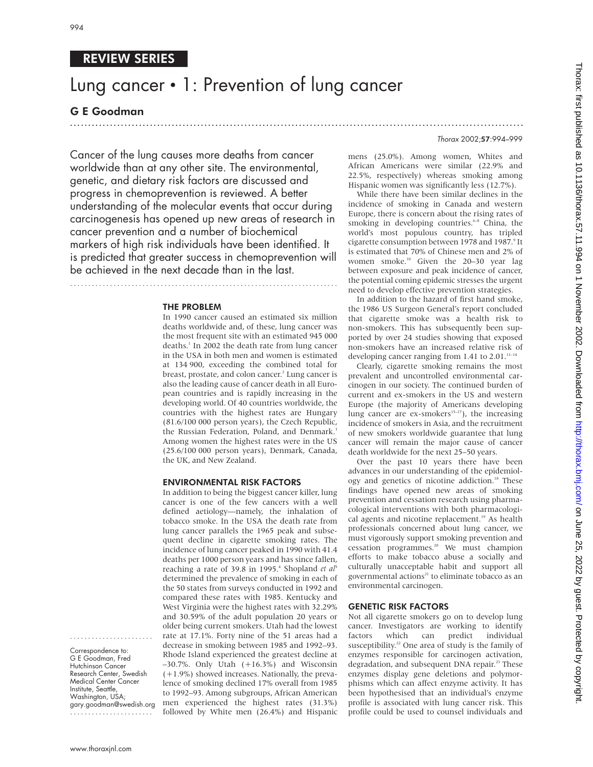# REVIEW SERIES

# Lung cancer • 1: Prevention of lung cancer

.............................................................................................................................

## G E Goodman

Thorax 2002;57:994–999

Cancer of the lung causes more deaths from cancer worldwide than at any other site. The environmental, genetic, and dietary risk factors are discussed and progress in chemoprevention is reviewed. A better understanding of the molecular events that occur during carcinogenesis has opened up new areas of research in cancer prevention and a number of biochemical markers of high risk individuals have been identified. It is predicted that greater success in chemoprevention will be achieved in the next decade than in the last.

..........................................................................

THE PROBLEM

In 1990 cancer caused an estimated six million deaths worldwide and, of these, lung cancer was the most frequent site with an estimated 945 000 deaths.<sup>1</sup> In 2002 the death rate from lung cancer in the USA in both men and women is estimated at 134 900, exceeding the combined total for breast, prostate, and colon cancer.<sup>2</sup> Lung cancer is also the leading cause of cancer death in all European countries and is rapidly increasing in the developing world. Of 40 countries worldwide, the countries with the highest rates are Hungary (81.6/100 000 person years), the Czech Republic, the Russian Federation, Poland, and Denmark.<sup>3</sup> Among women the highest rates were in the US (25.6/100 000 person years), Denmark, Canada, the UK, and New Zealand.

#### ENVIRONMENTAL RISK FACTORS

In addition to being the biggest cancer killer, lung cancer is one of the few cancers with a well defined aetiology—namely, the inhalation of tobacco smoke. In the USA the death rate from lung cancer parallels the 1965 peak and subsequent decline in cigarette smoking rates. The incidence of lung cancer peaked in 1990 with 41.4 deaths per 1000 person years and has since fallen, reaching a rate of 39.8 in 1995.<sup>4</sup> Shopland et al<sup>5</sup> determined the prevalence of smoking in each of the 50 states from surveys conducted in 1992 and compared these rates with 1985. Kentucky and West Virginia were the highest rates with 32.29% and 30.59% of the adult population 20 years or older being current smokers. Utah had the lowest rate at 17.1%. Forty nine of the 51 areas had a decrease in smoking between 1985 and 1992–93. Rhode Island experienced the greatest decline at –30.7%. Only Utah (+16.3%) and Wisconsin (+1.9%) showed increases. Nationally, the prevalence of smoking declined 17% overall from 1985 to 1992–93. Among subgroups, African American men experienced the highest rates (31.3%) followed by White men (26.4%) and Hispanic

mens (25.0%). Among women, Whites and African Americans were similar (22.9% and 22.5%, respectively) whereas smoking among Hispanic women was significantly less (12.7%).

While there have been similar declines in the incidence of smoking in Canada and western Europe, there is concern about the rising rates of smoking in developing countries.<sup>6-8</sup> China, the world's most populous country, has tripled cigarette consumption between 1978 and 1987.<sup>9</sup> It is estimated that 70% of Chinese men and 2% of women smoke.10 Given the 20–30 year lag between exposure and peak incidence of cancer, the potential coming epidemic stresses the urgent need to develop effective prevention strategies.

In addition to the hazard of first hand smoke, the 1986 US Surgeon General's report concluded that cigarette smoke was a health risk to non-smokers. This has subsequently been supported by over 24 studies showing that exposed non-smokers have an increased relative risk of developing cancer ranging from 1.41 to  $2.01$ .<sup>11-14</sup>

Clearly, cigarette smoking remains the most prevalent and uncontrolled environmental carcinogen in our society. The continued burden of current and ex-smokers in the US and western Europe (the majority of Americans developing lung cancer are ex-smokers<sup>15-17</sup>), the increasing incidence of smokers in Asia, and the recruitment of new smokers worldwide guarantee that lung cancer will remain the major cause of cancer death worldwide for the next 25–50 years.

Over the past 10 years there have been advances in our understanding of the epidemiology and genetics of nicotine addiction.<sup>18</sup> These findings have opened new areas of smoking prevention and cessation research using pharmacological interventions with both pharmacological agents and nicotine replacement.<sup>19</sup> As health professionals concerned about lung cancer, we must vigorously support smoking prevention and cessation programmes.20 We must champion efforts to make tobacco abuse a socially and culturally unacceptable habit and support all governmental actions<sup>21</sup> to eliminate tobacco as an environmental carcinogen.

### GENETIC RISK FACTORS

Not all cigarette smokers go on to develop lung cancer. Investigators are working to identify factors which can predict individual susceptibility.<sup>22</sup> One area of study is the family of enzymes responsible for carcinogen activation, degradation, and subsequent DNA repair.<sup>23</sup> These enzymes display gene deletions and polymorphisms which can affect enzyme activity. It has been hypothesised that an individual's enzyme profile is associated with lung cancer risk. This profile could be used to counsel individuals and

Correspondence to: G E Goodman, Fred Hutchinson Cancer Research Center, Swedish Medical Center Cancer Institute, Seattle, Washington, USA; gary.goodman@swedish.org

.......................

.......................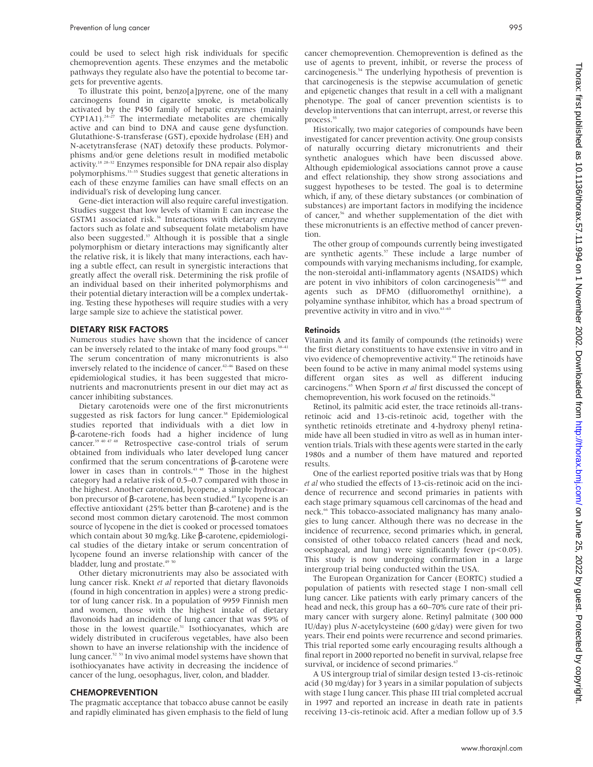could be used to select high risk individuals for specific chemoprevention agents. These enzymes and the metabolic pathways they regulate also have the potential to become targets for preventive agents.

To illustrate this point, benzo[a]pyrene, one of the many carcinogens found in cigarette smoke, is metabolically activated by the P450 family of hepatic enzymes (mainly  $CYP1A1$ ).<sup>24–27</sup> The intermediate metabolites are chemically active and can bind to DNA and cause gene dysfunction. Glutathione-S-transferase (GST), epoxide hydrolase (EH) and N-acetytransferase (NAT) detoxify these products. Polymorphisms and/or gene deletions result in modified metabolic activity.18 28–32 Enzymes responsible for DNA repair also display polymorphisms.33–35 Studies suggest that genetic alterations in each of these enzyme families can have small effects on an individual's risk of developing lung cancer.

Gene-diet interaction will also require careful investigation. Studies suggest that low levels of vitamin E can increase the GSTM1 associated risk.<sup>36</sup> Interactions with dietary enzyme factors such as folate and subsequent folate metabolism have also been suggested.<sup>37</sup> Although it is possible that a single polymorphism or dietary interactions may significantly alter the relative risk, it is likely that many interactions, each having a subtle effect, can result in synergistic interactions that greatly affect the overall risk. Determining the risk profile of an individual based on their inherited polymorphisms and their potential dietary interaction will be a complex undertaking. Testing these hypotheses will require studies with a very large sample size to achieve the statistical power.

#### DIETARY RISK FACTORS

Numerous studies have shown that the incidence of cancer can be inversely related to the intake of many food groups.<sup>38-41</sup> The serum concentration of many micronutrients is also inversely related to the incidence of cancer.<sup>42-46</sup> Based on these epidemiological studies, it has been suggested that micronutrients and macronutrients present in our diet may act as cancer inhibiting substances.

Dietary carotenoids were one of the first micronutrients suggested as risk factors for lung cancer.<sup>38</sup> Epidemiological studies reported that individuals with a diet low in β-carotene-rich foods had a higher incidence of lung cancer.<sup>39 40 47 48</sup> Retrospective case-control trials of serum obtained from individuals who later developed lung cancer confirmed that the serum concentrations of β-carotene were lower in cases than in controls.<sup>43 48</sup> Those in the highest category had a relative risk of 0.5–0.7 compared with those in the highest. Another carotenoid, lycopene, a simple hydrocarbon precursor of β-carotene, has been studied.<sup>49</sup> Lycopene is an effective antioxidant (25% better than β-carotene) and is the second most common dietary carotenoid. The most common source of lycopene in the diet is cooked or processed tomatoes which contain about 30 mg/kg. Like β-carotene, epidemiological studies of the dietary intake or serum concentration of lycopene found an inverse relationship with cancer of the bladder, lung and prostate.<sup>49</sup>

Other dietary micronutrients may also be associated with lung cancer risk. Knekt *et al* reported that dietary flavonoids (found in high concentration in apples) were a strong predictor of lung cancer risk. In a population of 9959 Finnish men and women, those with the highest intake of dietary flavonoids had an incidence of lung cancer that was 59% of those in the lowest quartile.<sup>51</sup> Isothiocyanates, which are widely distributed in cruciferous vegetables, have also been shown to have an inverse relationship with the incidence of lung cancer.<sup>52 53</sup> In vivo animal model systems have shown that isothiocyanates have activity in decreasing the incidence of cancer of the lung, oesophagus, liver, colon, and bladder.

#### CHEMOPREVENTION

The pragmatic acceptance that tobacco abuse cannot be easily and rapidly eliminated has given emphasis to the field of lung

cancer chemoprevention. Chemoprevention is defined as the use of agents to prevent, inhibit, or reverse the process of carcinogenesis.54 The underlying hypothesis of prevention is that carcinogenesis is the stepwise accumulation of genetic and epigenetic changes that result in a cell with a malignant phenotype. The goal of cancer prevention scientists is to develop interventions that can interrupt, arrest, or reverse this process.<sup>55</sup>

Historically, two major categories of compounds have been investigated for cancer prevention activity. One group consists of naturally occurring dietary micronutrients and their synthetic analogues which have been discussed above. Although epidemiological associations cannot prove a cause and effect relationship, they show strong associations and suggest hypotheses to be tested. The goal is to determine which, if any, of these dietary substances (or combination of substances) are important factors in modifying the incidence of cancer,<sup>56</sup> and whether supplementation of the diet with these micronutrients is an effective method of cancer prevention.

The other group of compounds currently being investigated are synthetic agents. $57$  These include a large number of compounds with varying mechanisms including, for example, the non-steroidal anti-inflammatory agents (NSAIDS) which are potent in vivo inhibitors of colon carcinogenesis $58-60$  and agents such as DFMO (difluoromethyl ornithine), a polyamine synthase inhibitor, which has a broad spectrum of preventive activity in vitro and in vivo.<sup>61-63</sup>

#### Retinoids

Vitamin A and its family of compounds (the retinoids) were the first dietary constituents to have extensive in vitro and in vivo evidence of chemopreventive activity.<sup>64</sup> The retinoids have been found to be active in many animal model systems using different organ sites as well as different inducing carcinogens.65 When Sporn *et al* first discussed the concept of chemoprevention, his work focused on the retinoids.<sup>54</sup>

Retinol, its palmitic acid ester, the trace retinoids all-transretinoic acid and 13-cis-retinoic acid, together with the synthetic retinoids etretinate and 4-hydroxy phenyl retinamide have all been studied in vitro as well as in human intervention trials. Trials with these agents were started in the early 1980s and a number of them have matured and reported results.

One of the earliest reported positive trials was that by Hong *et al* who studied the effects of 13-cis-retinoic acid on the incidence of recurrence and second primaries in patients with each stage primary squamous cell carcinomas of the head and neck.<sup>66</sup> This tobacco-associated malignancy has many analogies to lung cancer. Although there was no decrease in the incidence of recurrence, second primaries which, in general, consisted of other tobacco related cancers (head and neck, oesophageal, and lung) were significantly fewer (p<0.05). This study is now undergoing confirmation in a large intergroup trial being conducted within the USA.

The European Organization for Cancer (EORTC) studied a population of patients with resected stage I non-small cell lung cancer. Like patients with early primary cancers of the head and neck, this group has a 60–70% cure rate of their primary cancer with surgery alone. Retinyl palmitate (300 000 IU/day) plus *N*-acetylcysteine (600 g/day) were given for two years. Their end points were recurrence and second primaries. This trial reported some early encouraging results although a final report in 2000 reported no benefit in survival, relapse free survival, or incidence of second primaries.<sup>67</sup>

A US intergroup trial of similar design tested 13-cis-retinoic acid (30 mg/day) for 3 years in a similar population of subjects with stage I lung cancer. This phase III trial completed accrual in 1997 and reported an increase in death rate in patients receiving 13-cis-retinoic acid. After a median follow up of 3.5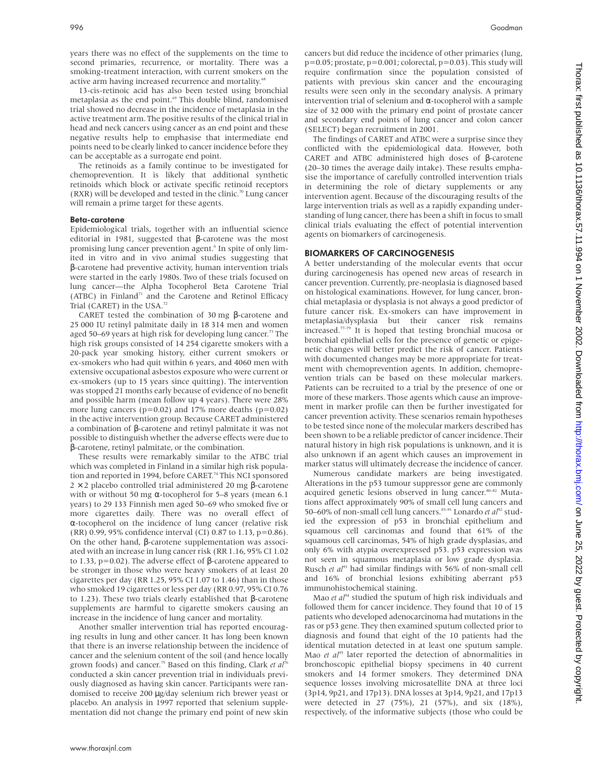years there was no effect of the supplements on the time to second primaries, recurrence, or mortality. There was a smoking-treatment interaction, with current smokers on the active arm having increased recurrence and mortality.<sup>6</sup>

13-cis-retinoic acid has also been tested using bronchial metaplasia as the end point.<sup>69</sup> This double blind, randomised trial showed no decrease in the incidence of metaplasia in the active treatment arm. The positive results of the clinical trial in head and neck cancers using cancer as an end point and these negative results help to emphasise that intermediate end points need to be clearly linked to cancer incidence before they can be acceptable as a surrogate end point.

The retinoids as a family continue to be investigated for chemoprevention. It is likely that additional synthetic retinoids which block or activate specific retinoid receptors (RXR) will be developed and tested in the clinic.<sup>70</sup> Lung cancer will remain a prime target for these agents.

#### Beta-carotene

Epidemiological trials, together with an influential science editorial in 1981, suggested that β-carotene was the most promising lung cancer prevention agent.<sup>6</sup> In spite of only limited in vitro and in vivo animal studies suggesting that β-carotene had preventive activity, human intervention trials were started in the early 1980s. Two of these trials focused on lung cancer—the Alpha Tocopherol Beta Carotene Trial (ATBC) in Finland<sup>71</sup> and the Carotene and Retinol Efficacy Trial (CARET) in the USA.<sup>72</sup>

CARET tested the combination of 30 mg β-carotene and 25 000 IU retinyl palmitate daily in 18 314 men and women aged 50–69 years at high risk for developing lung cancer.<sup>73</sup> The high risk groups consisted of 14 254 cigarette smokers with a 20-pack year smoking history, either current smokers or ex-smokers who had quit within 6 years, and 4060 men with extensive occupational asbestos exposure who were current or ex-smokers (up to 15 years since quitting). The intervention was stopped 21 months early because of evidence of no benefit and possible harm (mean follow up 4 years). There were 28% more lung cancers ( $p=0.02$ ) and 17% more deaths ( $p=0.02$ ) in the active intervention group. Because CARET administered a combination of β-carotene and retinyl palmitate it was not possible to distinguish whether the adverse effects were due to β-carotene, retinyl palmitate, or the combination.

These results were remarkably similar to the ATBC trial which was completed in Finland in a similar high risk population and reported in 1994, before CARET.<sup>74</sup> This NCI sponsored  $2 \times 2$  placebo controlled trial administered 20 mg β-carotene with or without 50 mg α-tocopherol for 5–8 years (mean 6.1) years) to 29 133 Finnish men aged 50–69 who smoked five or more cigarettes daily. There was no overall effect of α-tocopherol on the incidence of lung cancer (relative risk (RR) 0.99, 95% confidence interval (CI) 0.87 to 1.13, p=0.86). On the other hand, β-carotene supplementation was associated with an increase in lung cancer risk (RR 1.16, 95% CI 1.02 to 1.33, p=0.02). The adverse effect of β-carotene appeared to be stronger in those who were heavy smokers of at least 20 cigarettes per day (RR 1.25, 95% CI 1.07 to 1.46) than in those who smoked 19 cigarettes or less per day (RR 0.97, 95% CI 0.76 to 1.23). These two trials clearly established that β-carotene supplements are harmful to cigarette smokers causing an increase in the incidence of lung cancer and mortality.

Another smaller intervention trial has reported encouraging results in lung and other cancer. It has long been known that there is an inverse relationship between the incidence of cancer and the selenium content of the soil (and hence locally grown foods) and cancer.<sup>75</sup> Based on this finding, Clark *et al<sup>76</sup>* conducted a skin cancer prevention trial in individuals previously diagnosed as having skin cancer. Participants were randomised to receive 200 µg/day selenium rich brewer yeast or placebo. An analysis in 1997 reported that selenium supplementation did not change the primary end point of new skin

cancers but did reduce the incidence of other primaries (lung,  $p=0.05$ ; prostate,  $p=0.001$ ; colorectal,  $p=0.03$ ). This study will require confirmation since the population consisted of patients with previous skin cancer and the encouraging results were seen only in the secondary analysis. A primary intervention trial of selenium and α-tocopherol with a sample size of 32 000 with the primary end point of prostate cancer and secondary end points of lung cancer and colon cancer (SELECT) began recruitment in 2001.

The findings of CARET and ATBC were a surprise since they conflicted with the epidemiological data. However, both CARET and ATBC administered high doses of β-carotene (20–30 times the average daily intake). These results emphasise the importance of carefully controlled intervention trials in determining the role of dietary supplements or any intervention agent. Because of the discouraging results of the large intervention trials as well as a rapidly expanding understanding of lung cancer, there has been a shift in focus to small clinical trials evaluating the effect of potential intervention agents on biomarkers of carcinogenesis.

#### BIOMARKERS OF CARCINOGENESIS

A better understanding of the molecular events that occur during carcinogenesis has opened new areas of research in cancer prevention. Currently, pre-neoplasia is diagnosed based on histological examinations. However, for lung cancer, bronchial metaplasia or dysplasia is not always a good predictor of future cancer risk. Ex-smokers can have improvement in metaplasia/dysplasia but their cancer risk remains increased.77–79 It is hoped that testing bronchial mucosa or bronchial epithelial cells for the presence of genetic or epigenetic changes will better predict the risk of cancer. Patients with documented changes may be more appropriate for treatment with chemoprevention agents. In addition, chemoprevention trials can be based on these molecular markers. Patients can be recruited to a trial by the presence of one or more of these markers. Those agents which cause an improvement in marker profile can then be further investigated for cancer prevention activity. These scenarios remain hypotheses to be tested since none of the molecular markers described has been shown to be a reliable predictor of cancer incidence. Their natural history in high risk populations is unknown, and it is also unknown if an agent which causes an improvement in marker status will ultimately decrease the incidence of cancer.

Numerous candidate markers are being investigated. Alterations in the p53 tumour suppressor gene are commonly acquired genetic lesions observed in lung cancer. $80-82$  Mutations affect approximately 90% of small cell lung cancers and 50–60% of non-small cell lung cancers.<sup>83–91</sup> Lonardo *et al*<sup>92</sup> studied the expression of p53 in bronchial epithelium and squamous cell carcinomas and found that 61% of the squamous cell carcinomas, 54% of high grade dysplasias, and only 6% with atypia overexpressed p53. p53 expression was not seen in squamous metaplasia or low grade dysplasia. Rusch *et al*<sup>93</sup> had similar findings with 56% of non-small cell and 16% of bronchial lesions exhibiting aberrant p53 immunohistochemical staining.

Mao *et al*<sup>94</sup> studied the sputum of high risk individuals and followed them for cancer incidence. They found that 10 of 15 patients who developed adenocarcinoma had mutations in the ras or p53 gene. They then examined sputum collected prior to diagnosis and found that eight of the 10 patients had the identical mutation detected in at least one sputum sample. Mao *et al*<sup>95</sup> later reported the detection of abnormalities in bronchoscopic epithelial biopsy specimens in 40 current smokers and 14 former smokers. They determined DNA sequence losses involving microsatellite DNA at three loci (3p14, 9p21, and 17p13). DNA losses at 3p14, 9p21, and 17p13 were detected in 27 (75%), 21 (57%), and six (18%), respectively, of the informative subjects (those who could be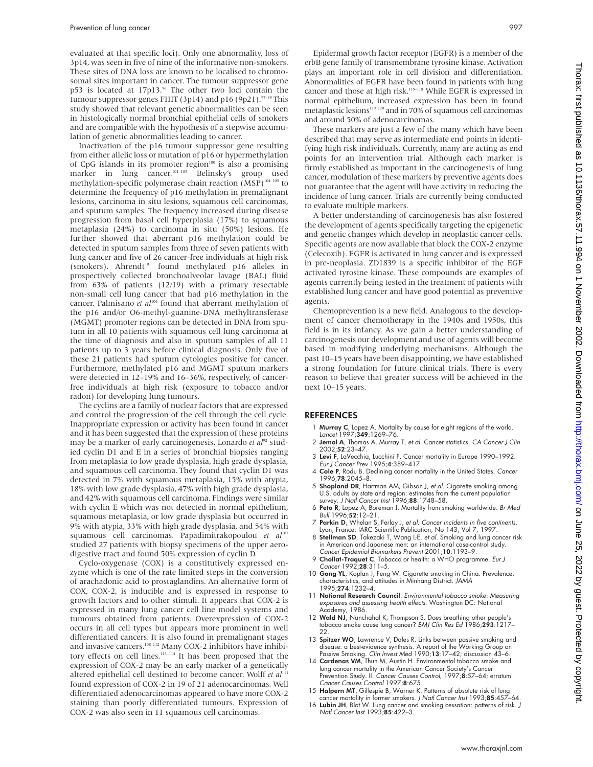evaluated at that specific loci). Only one abnormality, loss of 3p14, was seen in five of nine of the informative non-smokers. These sites of DNA loss are known to be localised to chromosomal sites important in cancer. The tumour suppressor gene p53 is located at 17p13.<sup>96</sup> The other two loci contain the tumour suppressor genes FHIT (3p14) and p16 (9p21).<sup>97-99</sup> This study showed that relevant genetic abnormalities can be seen in histologically normal bronchial epithelial cells of smokers and are compatible with the hypothesis of a stepwise accumulation of genetic abnormalities leading to cancer.

Inactivation of the p16 tumour suppressor gene resulting from either allelic loss or mutation of p16 or hypermethylation of CpG islands in its promoter region<sup>100</sup> is also a promising marker in lung cancer.<sup>101–103</sup> Belinsky's group used methylation-specific polymerase chain reaction (MSP)<sup>104 105</sup> to determine the frequency of p16 methylation in premalignant lesions, carcinoma in situ lesions, squamous cell carcinomas, and sputum samples. The frequency increased during disease progression from basal cell hyperplasia (17%) to squamous metaplasia (24%) to carcinoma in situ (50%) lesions. He further showed that aberrant p16 methylation could be detected in sputum samples from three of seven patients with lung cancer and five of 26 cancer-free individuals at high risk (smokers). Ahrendt<sup>101</sup> found methylated p16 alleles in prospectively collected bronchoalveolar lavage (BAL) fluid from 63% of patients (12/19) with a primary resectable non-small cell lung cancer that had p16 methylation in the cancer. Palmisano et al<sup>106</sup> found that aberrant methylation of the p16 and/or O6-methyl-guanine-DNA methyltransferase (MGMT) promoter regions can be detected in DNA from sputum in all 10 patients with squamous cell lung carcinoma at the time of diagnosis and also in sputum samples of all 11 patients up to 3 years before clinical diagnosis. Only five of these 21 patients had sputum cytologies positive for cancer. Furthermore, methylated p16 and MGMT sputum markers were detected in 12–19% and 16–36%, respectively, of cancerfree individuals at high risk (exposure to tobacco and/or radon) for developing lung tumours.

The cyclins are a family of nuclear factors that are expressed and control the progression of the cell through the cell cycle. Inappropriate expression or activity has been found in cancer and it has been suggested that the expression of these proteins may be a marker of early carcinogenesis. Lonardo et al<sup>92</sup> studied cyclin D1 and E in a series of bronchial biopsies ranging from metaplasia to low grade dysplasia, high grade dysplasia, and squamous cell carcinoma. They found that cyclin D1 was detected in 7% with squamous metaplasia, 15% with atypia, 18% with low grade dysplasia, 47% with high grade dysplasia, and 42% with squamous cell carcinoma. Findings were similar with cyclin E which was not detected in normal epithelium, squamous metaplasia, or low grade dysplasia but occurred in 9% with atypia, 33% with high grade dysplasia, and 54% with squamous cell carcinomas. Papadimitrakopoulou et al<sup>107</sup> studied 27 patients with biopsy specimens of the upper aerodigestive tract and found 50% expression of cyclin D.

Cyclo-oxygenase (COX) is a constitutively expressed enzyme which is one of the rate limited steps in the conversion of arachadonic acid to prostaglandins. An alternative form of COX, COX-2, is inducible and is expressed in response to growth factors and to other stimuli. It appears that COX-2 is expressed in many lung cancer cell line model systems and tumours obtained from patients. Overexpression of COX-2 occurs in all cell types but appears more prominent in well differentiated cancers. It is also found in premalignant stages and invasive cancers.<sup>108–112</sup> Many COX-2 inhibitors have inhibitory effects on cell lines.<sup>113 114</sup> It has been proposed that the expression of COX-2 may be an early marker of a genetically altered epithelial cell destined to become cancer. Wolff *et al*<sup>111</sup> found expression of COX-2 in 19 of 21 adenocarcinomas. Well differentiated adenocarcinomas appeared to have more COX-2 staining than poorly differentiated tumours. Expression of COX-2 was also seen in 11 squamous cell carcinomas.

Epidermal growth factor receptor (EGFR) is a member of the erbB gene family of transmembrane tyrosine kinase. Activation plays an important role in cell division and differentiation. Abnormalities of EGFR have been found in patients with lung cancer and those at high risk.<sup>115–118</sup> While EGFR is expressed in normal epithelium, increased expression has been in found metaplastic lesions<sup>119</sup> <sup>120</sup> and in 70% of squamous cell carcinomas and around 50% of adenocarcinomas.

These markers are just a few of the many which have been described that may serve as intermediate end points in identifying high risk individuals. Currently, many are acting as end points for an intervention trial. Although each marker is firmly established as important in the carcinogenesis of lung cancer, modulation of these markers by preventive agents does not guarantee that the agent will have activity in reducing the incidence of lung cancer. Trials are currently being conducted to evaluate multiple markers.

A better understanding of carcinogenesis has also fostered the development of agents specifically targeting the epigenetic and genetic changes which develop in neoplastic cancer cells. Specific agents are now available that block the COX-2 enzyme (Celecoxib). EGFR is activated in lung cancer and is expressed in pre-neoplasia. ZD1839 is a specific inhibitor of the EGF activated tyrosine kinase. These compounds are examples of agents currently being tested in the treatment of patients with established lung cancer and have good potential as preventive agents.

Chemoprevention is a new field. Analogous to the development of cancer chemotherapy in the 1940s and 1950s, this field is in its infancy. As we gain a better understanding of carcinogenesis our development and use of agents will become based in modifying underlying mechanisms. Although the past 10–15 years have been disappointing, we have established a strong foundation for future clinical trials. There is every reason to believe that greater success will be achieved in the next 10–15 years.

#### **REFERENCES**

- 1 Murray C, Lopez A. Mortality by cause for eight regions of the world. Lancet 1997;349:1269–76.
- 2 Jemal A, Thomas A, Murray T, et al. Cancer statistics. CA Cancer J Clin 2002;52:23–47.
- 3 Levi F, LaVecchia, Lucchini F. Cancer mortality in Europe 1990–1992. Eur J Cancer Prev 1995;4:389–417.
- 4 Cole P, Rodu B. Declining cancer mortality in the United States. Cancer 1996;78:2045–8.
- 5 Shopland DR, Hartman AM, Gibson J, et al. Cigarette smoking among U.S. adults by state and region: estimates from the current population survey. J Natl Cancer Inst 1996;88:1748-58.
- 6 Peto R, Lopez A, Boreman J. Mortality from smoking worldwide. Br Med Bull 1996;52:12–21.
- 7 Parkin D, Whelan S, Ferlay J, et al. Cancer incidents in five continents. Lyon, France: IARC Scientific Publication, No 143, Vol 7, 1997.
- 8 Stellman SD, Takezaki T, Wang L-E, et al. Smoking and lung cancer risk in American and Japanese men: an international case-control study. Cancer Epidemiol Biomarkers Prevent 2001;10:1193–9.
- 9 Chollat-Traquet C. Tobacco or health: a WHO programme. Eur J Cancer 1992;28:311–5.
- 10 Gong YL, Koplan J, Feng W. Cigarette smoking in China. Prevalence, characteristics, and attitudes in Minhang District. JAMA 1995;274:1232–4.
- 11 National Research Council. Environmental tobacco smoke: Measuring exposures and assessing health effects. Washington DC: National Academy, 1986.
- 12 Wald NJ, Nanchahal K, Thompson S. Does breathing other people's tobacco smoke cause lung cancer? BMJ Clin Res Ed 1986;293:1217–  $22.2$
- 13 Spitzer WO, Lawrence V, Dales R. Links between passive smoking and disease: a best-evidence synthesis. A report of the Working Group on Passive Smoking. Clin Invest Med 1990;13:17-42; discussion 43-6.
- 14 Cardenas VM, Thun M, Austin H. Environmental tobacco smoke and lung cancer mortality in the American Cancer Society's Cancer Prevention Study. II. *Cancer Causes Control,* 1997;**8**:57–64; erratum<br>*Cancer Causes Control* 1997;**8**:675.
- 15 Halpern MT, Gillespie B, Warner K. Patterns of absolute risk of lung cancer mortality in former smokers. J Natl Cancer Inst 1993;85:457-64.
- 16 Lubin JH, Blot W. Lung cancer and smoking cessation: patterns of risk. J Natl Cancer Inst 1993;85:422–3.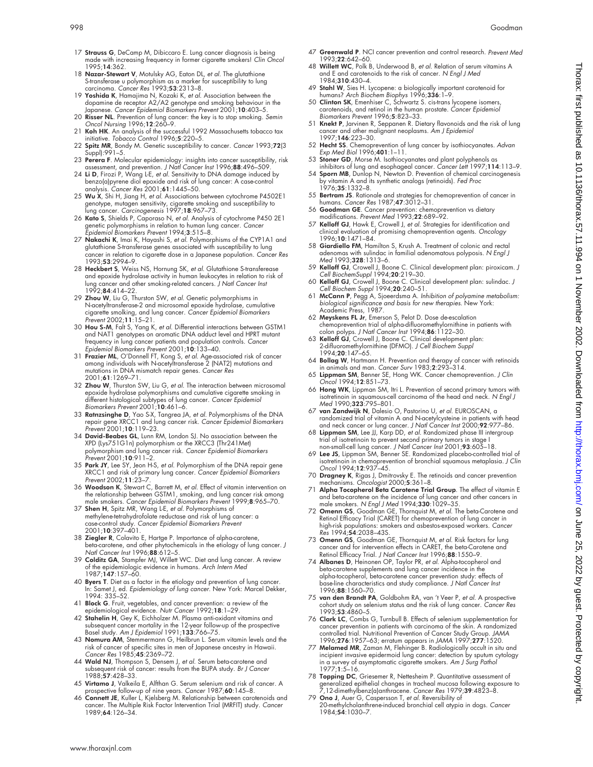- 17 Strauss G, DeCamp M, Dibiccaro E. Lung cancer diagnosis is being made with increasing frequency in former cigarette smokers! Clin Oncol 1995;14:362.
- 18 Nazar-Stewart V, Motulsky AG, Eaton DL, et al. The glutathione S-transferase u polymorphism as a marker for susceptibility to lung carcinoma. Cancer Res 1993;53:2313–8.
- 19 Yoshida K, Hamajima N, Kozaki K, et al. Association between the dopamine de receptor A2/A2 genotype and smoking behaviour in the Japanese. Cancer Epidemiol Biomarkers Prevent 2001;10:403–5.
- 20 Risser NL. Prevention of lung cancer: the key is to stop smoking. Semin Oncol Nursing 1996;12:260–9.
- 21 Koh HK. An analysis of the successful 1992 Massachusetts tobacco tax initiative. Tobacco Control 1996;5:220–5.
- 22 Spitz MR, Bondy M. Genetic susceptibility to cancer. Cancer 1993;72(3 Suppl):991–5.
- 23 Perera F. Molecular epidemiology: insights into cancer susceptibility, risk
- assessment, and prevention. *J Natl Cancer Inst* 1996;**88**:496–509.<br>24 **Li D**, Firozi P, Wang L-E, *et al*. Sensitivity to DNA damage induced by<br>benzo(a)pyrene diol epoxide and risk of lung cancer: A case-control analysis. Cancer Res 2001;61:1445-50.
- 25 Wu X, Shi H, Jiang H, et al. Associations between cytochrome P4502E1 genotype, mutagen sensitivity, cigarette smoking and susceptibility to<br>lung cancer. *Carcinogenesis* 1997;**18**:967–73.
- 26 Kato S, Shields P, Caporaso N, et al. Analysis of cytochrome P450 2E1 genetic polymorphisms in relation to human lung cancer. Cancer Epidemiol Biomarkers Prevent 1994;3:515–8.
- 27 Nakachi K, Imai K, Hayashi S, et al. Polymorphisms of the CYP1A1 and glutathione S-transferase genes associated with susceptibility to lung cancer in relation to cigarette dose in a Japanese population. Cancer Res 1993;53:2994–9.
- 28 Heckbert S, Weiss NS, Hornung SK, et al. Glutathione S-transferease and epoxide hydrolase activity in human leukocytes in relation to risk of lung cancer and other smoking-related cancers. J Natl Cancer Inst 1992;84:414–22.
- 29 Zhou W, Liu G, Thurston SW, et al. Genetic polymorphisms in<br>N-acetyltransferase-2 and microsomal epoxide hydrolase, cumulative<br>cigarette smolking, and lung cancer. Cancer Epidemiol Biomarkers<br>Prevent 2002;11:15–21.
- 30 Hou S-M, Falt S, Yang K, et al. Differential interactions between GSTM1 and NAT1 genotypes on aromatic DNA adduct level and HPRT mutant frequency in lung cancer patients and population controls. Cance
- Epidemiol Biomarkers Prevent 2001;**10**:133–40.<br>31 **Frazier ML**, O'Donnell FT, Kong S, *et al. A*ge-associated risk of cancer<br>among individuals with N-acetyltransferase 2 (NAT2) mutations and mutations in DNA mismatch repair genes. Cancer Res 2001;61:1269–71.
- 32 Zhou W, Thurston SW, Liu G, et al. The interaction between microsomal epoxide hydrolase polymorphisms and cumulative cigarette smoking in different histological subtypes of lung cancer. *Cancer Epidemiol*<br>Biomarkers Prevent 2001;**10**:461–6.
- 33 Ratnzsinghe D, Yao S-X, Tangrea JA, et al. Polymorphisms of the DNA repair gene XRCC1 and lung cancer risk. Cancer Epidemiol Biomarkers Prevent 2001;10:119–23.
- 34 David-Beabes GL, Lunn RM, London SJ. No association between the XPD (Lys751G1n) polymorphism or the XRCC3 (Thr241Met) polymorphism and lung cancer risk. Cancer Epidemiol Biomarkers Prevent 2001;10:911–2.
- 35 Park JY, Lee SY, Jeon H-S, et al. Polymorphism of the DNA repair gene XRCC1 and risk of primary lung cancer. Cancer Epidemiol Biomarkers Prevent 2002;11:23–7.
- 36 Woodson K, Stewart C, Barrett M, et al. Effect of vitamin intervention on the relationship between GSTM1, smoking, and lung cancer risk among male smokers. Cancer Epidemiol Biomarkers Prevent 1999;8:965–70.
- 37 Shen H, Spitz MR, Wang L-E, et al. Polymorphisms of methylene-tetrahydrofolate reductase and risk of lung cancer: a case-control study. Cancer Epidemiol Biomarkers Prevent 2001;10:397–401.
- 38 Ziegler R, Colavito E, Hartge P. Importance of alpha-carotene, beta-carotene, and other phytochemicals in the etiology of lung cancer. J Natl Cancer Inst 1996;88:612–5.
- 39 Colditz GA, Stampfer MJ, Willett WC. Diet and lung cancer. A review of the epidemiologic evidence in humans. Arch Intern Med 1987;147:157–60.
- 40 Byers T. Diet as a factor in the etiology and prevention of lung cancer. In: Samet J, ed. Epidemiology of lung cancer. New York: Marcel Dekker, 1994: 335–52.
- 41 **Block G**. Fruit, vegetables, and cancer prevention: a review of the epidemiological evidence. Nutr Cancer 1992;18:1–29.
- 42 Stahelin H, Gey K, Eichholzer M. Plasma anti-oxidant vitamins and subsequent cancer mortality in the 12-year follow-up of the prospective Basel study. Am J Epidemiol 1991;133:766–75.
- 43 Nomura AM, Stemmermann G, Heilbrun L. Serum vitamin levels and the risk of cancer of specific sites in men of Japanese ancestry in Hawaii. Cancer Res 1985;45:2369–72.
- 44 Wald NJ, Thompson S, Densem J, et al. Serum beta-carotene and subsequent risk of cancer: results from the BUPA study. Br J Cancer 1988:57:428–33.
- 45 Virtamo J, Valkeila E, Alfthan G. Serum selenium and risk of cancer. A prospective follow-up of nine years. *Cancer* 1987;**60**:145–8.<br>46 **Connett JE**, Kuller L, Kjelsberg M. Relationship between carotenoids and
- cancer. The Multiple Risk Factor Intervention Trial (MRFIT) study. Cancer 1989;64:126–34.
- 47 Greenwald P. NCI cancer prevention and control research. Prevent Med 1993;22:642–60.
- 48 Willett WC, Polk B, Underwood B, et al. Relation of serum vitamins A and E and carotenoids to the risk of cancer. N Engl J Med<br>1984:310:430-4.
- 1984;310:430-4.<br>49 Stahl W, Sies H. Lycopene: a biologically important carotenoid for<br>humans? Arch Biochem Biophys 1996;336:1-9.<br>50 Clinton SK, Emenhiser C, Schwartz S. cistrans lycopene isomers,<br>carotenoids, and retinol i
- Biomarkers Prevent 1996;5:823–33.<br>51 **Knekt P**, Jarvinen R, Seppanen R. Dietary flavonoids and the risk of lung
- cancer and other malignant neoplasms. Am J Epidemiol 1997;146:223–30.
- 52 Hecht SS. Chemoprevention of lung cancer by isothiocyanates. Advan Exp Med Biol 1996;401:1–11.
- 53 **Stoner GD**, Morse M. Isothiocyanates and plant polyphenols as<br>inhibitors of lung and esophageal cancer. *Cancer Lett* 1997;114:113–9.<br>54 **Sporn MB**, Dunlop N, Newton D. Prevention of chemical carcinogenesis
- by vitamin A and its synthetic analogs (retinoids). *Fed Proc*<br>1976;**35**:1332–8.
- 55 Bertram JS. Rationale and strategies for chemoprevention of cancer in
- humans. Cancer Res 1987;47:3012–31. 56 Goodman GE. Cancer prevention: chemoprevention vs dietary modifications. Prevent Med 1993;22:689–92.
- 57 Kelloff GJ, Hawk E, Crowell J, et al. Strategies for identification and clinical evaluation of promising chemoprevention agents. Oncology 1996;10:1471–84.
- 58 Giardiello FM, Hamilton S, Krush A. Treatment of colonic and rectal adenomas with sulindac in familial adenomatous polyposis. N Engl J Med 1993;328:1313–6.
- 59 Kelloff GJ, Crowell J, Boone C. Clinical development plan: piroxicam. J Cell BiochemSuppl 1994;20:219–30.
- 60 Kelloff GJ, Crowell J, Boone C. Clinical development plan: sulindac. J Cell Biochem Suppl 1994;20:240–51.
- McCann P, Pegg A, Sjoeerdsma A. Inhibition of polyamine metabolism: biological significance and basis for new therapies. New York:
- Academic Press, 1987. 62 Meyskens FL Jr, Emerson S, Pelot D. Dose de-escalation chemoprevention trial of alpha-difluoromethylornithine in patients with colon polyps. J Natl Cancer Inst 1994;86:1122–30.
- 63 Kelloff GJ, Crowell J, Boone C. Clinical development plan: 2-difluoromethylornithine (DFMO). J Cell Biochem Suppl 1994;20:147–65.
- 64 **Bollag W**, Hartmann H. Prevention and therapy of cancer with retinoids<br>in animals and man. *Cancer Surv* 1983;2:293–314.<br>65 Lippman SM, Benner SE, Hong WK. Cancer chemoprevention. *J Clin*<br>Oncol 1994;1**2**:851–73.
- 
- 66 Hong WK, Lippman SM, Itri L. Prevention of second primary tumors with isotretinoin in squamous-cell carcinoma of the head and neck. N Engl J Med 1990;323:795-801.
- 67 van Zandwijk N, Dalesio O, Pastorino U, et al. EUROSCAN, a randomized trial of vitamin A and N-acetylcysteine in patients with head<br>and neck cancer or lung cancer. J Marl Cancer Inst 2000;**92**:977–86.<br>68 **Lippman SM**, lee IJ, Karp DD, *et al.* Randomized phase III intergroup<br>trial
- 
- non-small-cell lung cancer. J Natl Cancer Inst 2001;93:605–18. 69 Lee JS, Lippman SM, Benner SE. Randomized placebo-controlled trial of isotretinoin in chemoprevention of bronchial squamous metaplasia. J Clin Oncol 1994;12:937–45.
- 70 Dragney K, Rigas J, Dmitrovsky E. The retinoids and cancer prevention mechanisms. Oncologist 2000;5:361-8.
- 71 Alpha Tocopherol Beta Carotene Trial Group. The effect of vitamin E and beta-carotene on the incidence of lung cancer and other cancers in<br>male smokers. N Engl J Med 1994;**330**:1029–35.
- 72 Omenn GS, Goodman GE, Thornquist M, et al. The beta-Carotene and Retinol Efficacy Trial (CARET) for chemoprevention of lung cancer in high-risk populations: smokers and asbestos-exposed workers. Cancer Res 1994;54:2038–43S.
- 73 Omenn GS, Goodman GE, Thornquist M, et al. Risk factors for lung cancer and for intervention effects in CARET, the beta-Carotene and Retinol Efficacy Trial. J Natl Cancer Inst 1996;88:1550-9.
- 74 Albanes D, Heinonen OP, Taylor PR, et al. Alpha-tocopherol and beta-carotene supplements and lung cancer incidence in the alpha-tocopherol, beta-carotene cancer prevention study: effects of base-line characteristics and study compliance. J Natl Cancer Inst 1996;88:1560–70.
- 75 van den Brandt PA, Goldbohm RA, van 't Veer P, et al. A prospective cohort study on selenium status and the risk of lung cancer. Cancer Res 1993;53:4860–5.
- 76 Clark LC, Combs G, Turnbull B. Effects of selenium supplementation for cancer prevention in patients with carcinoma of the skin. A randomized<br>controlled trial. Nutritional Prevention of Cancer Study Group. JAMA<br>1996;2**76**:1957–63; erratum appears in JAMA 1997;**277**:1520.<br>77 **Melamed MR**, Zama
- incipient invasive epidermoid lung cancer: detection by sputum cytology<br>in a survey of asymptomatic cigarette smokers. A*m J Surg Pathol* 1977;1:5–16.
- 78 Topping DC, Griesemer R, Nettesheim P. Quantitative assessment of generalized epithelial changes in tracheal mucosa following exposure to 7,12-dimethylbenz(a)anthracene. Cancer Res 1979;39:4823–8. 79 Ono J, Auer G, Caspersson T, et al. Reversibility of
- 20-methylcholanthrene-induced bronchial cell atypia in dogs. Cancer 1984;54:1030–7.